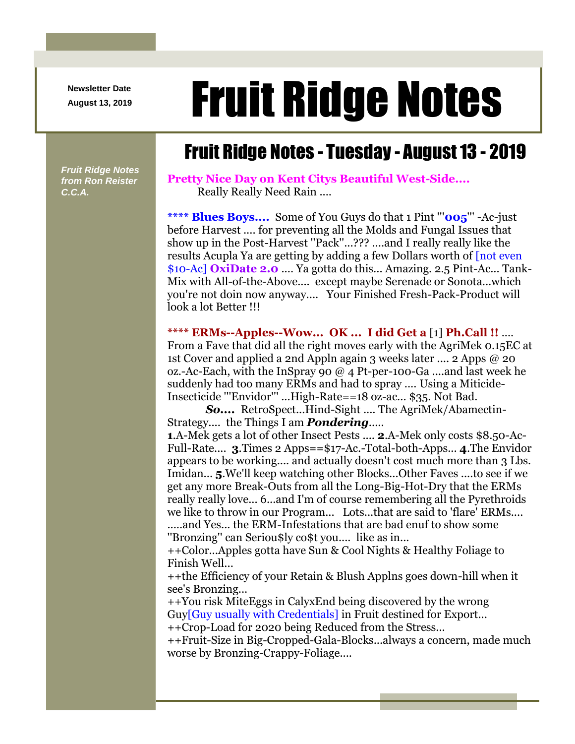**Newsletter Date**

## August 13, 2019 **Fruit Ridge Notes**

## Fruit Ridge Notes - Tuesday - August 13 - 2019

*Fruit Ridge Notes from Ron Reister C.C.A.*

**Pretty Nice Day on Kent Citys Beautiful West-Side....** Really Really Need Rain ....

**\*\*\*\* Blues Boys....** Some of You Guys do that 1 Pint '''**005**''' -Ac-just before Harvest .... for preventing all the Molds and Fungal Issues that show up in the Post-Harvest ''Pack''...??? ....and I really really like the results Acupla Ya are getting by adding a few Dollars worth of [not even \$10-Ac] **OxiDate 2.0** .... Ya gotta do this... Amazing. 2.5 Pint-Ac... Tank-Mix with All-of-the-Above.... except maybe Serenade or Sonota...which you're not doin now anyway.... Your Finished Fresh-Pack-Product will look a lot Better !!!

**\*\*\*\* ERMs--Apples--Wow... OK ... I did Get a** [1] **Ph.Call !!** ....

From a Fave that did all the right moves early with the AgriMek 0.15EC at 1st Cover and applied a 2nd Appln again 3 weeks later .... 2 Apps @ 20 oz.-Ac-Each, with the InSpray 90 @ 4 Pt-per-100-Ga ....and last week he suddenly had too many ERMs and had to spray .... Using a Miticide-Insecticide '''Envidor''' ...High-Rate==18 oz-ac... \$35. Not Bad.

*So....* RetroSpect...Hind-Sight .... The AgriMek/Abamectin-Strategy.... the Things I am *Pondering*.....

**1**.A-Mek gets a lot of other Insect Pests .... **2**.A-Mek only costs \$8.50-Ac-Full-Rate.... **3**.Times 2 Apps==\$17-Ac.-Total-both-Apps... **4**.The Envidor appears to be working.... and actually doesn't cost much more than 3 Lbs. Imidan... **5**.We'll keep watching other Blocks...Other Faves ....to see if we get any more Break-Outs from all the Long-Big-Hot-Dry that the ERMs really really love... 6...and I'm of course remembering all the Pyrethroids we like to throw in our Program... Lots...that are said to 'flare' ERMs....

.....and Yes... the ERM-Infestations that are bad enuf to show some ''Bronzing'' can Seriou\$ly co\$t you.... like as in...

++Color...Apples gotta have Sun & Cool Nights & Healthy Foliage to Finish Well...

++the Efficiency of your Retain & Blush Applns goes down-hill when it see's Bronzing...

++You risk MiteEggs in CalyxEnd being discovered by the wrong Guy[Guy usually with Credentials] in Fruit destined for Export...

++Crop-Load for 2020 being Reduced from the Stress...

++Fruit-Size in Big-Cropped-Gala-Blocks...always a concern, made much worse by Bronzing-Crappy-Foliage....